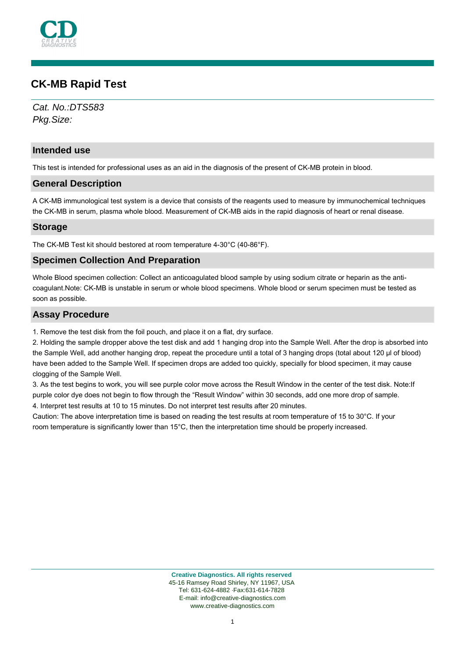

# **CK-MB Rapid Test**

Cat. No.:DTS583 Pkg.Size:

## **Intended use**

This test is intended for professional uses as an aid in the diagnosis of the present of CK-MB protein in blood.

#### **General Description**

A CK-MB immunological test system is a device that consists of the reagents used to measure by immunochemical techniques the CK-MB in serum, plasma whole blood. Measurement of CK-MB aids in the rapid diagnosis of heart or renal disease.

## **Storage**

The CK-MB Test kit should bestored at room temperature 4-30°C (40-86°F).

### **Specimen Collection And Preparation**

Whole Blood specimen collection: Collect an anticoagulated blood sample by using sodium citrate or heparin as the anticoagulant.Note: CK-MB is unstable in serum or whole blood specimens. Whole blood or serum specimen must be tested as soon as possible.

### **Assay Procedure**

1. Remove the test disk from the foil pouch, and place it on a flat, dry surface.

2. Holding the sample dropper above the test disk and add 1 hanging drop into the Sample Well. After the drop is absorbed into the Sample Well, add another hanging drop, repeat the procedure until a total of 3 hanging drops (total about 120 µl of blood) have been added to the Sample Well. If specimen drops are added too quickly, specially for blood specimen, it may cause clogging of the Sample Well.

3. As the test begins to work, you will see purple color move across the Result Window in the center of the test disk. Note:If purple color dye does not begin to flow through the "Result Window" within 30 seconds, add one more drop of sample. 4. Interpret test results at 10 to 15 minutes. Do not interpret test results after 20 minutes.

Caution: The above interpretation time is based on reading the test results at room temperature of 15 to 30°C. If your room temperature is significantly lower than 15°C, then the interpretation time should be properly increased.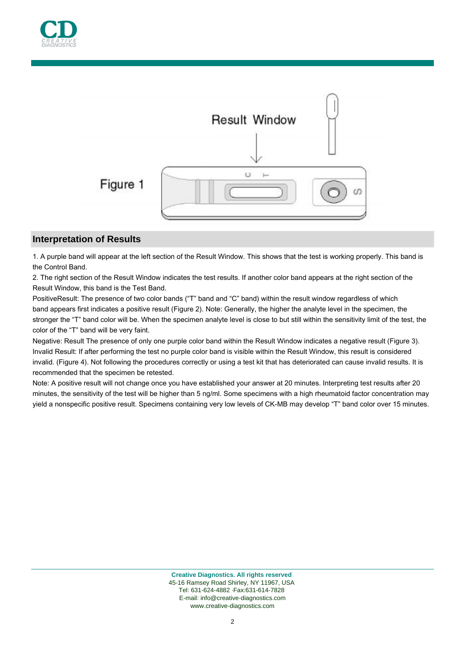



# **Interpretation of Results**

1. A purple band will appear at the left section of the Result Window. This shows that the test is working properly. This band is the Control Band.

2. The right section of the Result Window indicates the test results. If another color band appears at the right section of the Result Window, this band is the Test Band.

PositiveResult: The presence of two color bands ("T" band and "C" band) within the result window regardless of which band appears first indicates a positive result (Figure 2). Note: Generally, the higher the analyte level in the specimen, the stronger the "T" band color will be. When the specimen analyte level is close to but still within the sensitivity limit of the test, the color of the "T" band will be very faint.

Negative: Result The presence of only one purple color band within the Result Window indicates a negative result (Figure 3). Invalid Result: If after performing the test no purple color band is visible within the Result Window, this result is considered invalid. (Figure 4). Not following the procedures correctly or using a test kit that has deteriorated can cause invalid results. It is recommended that the specimen be retested.

Note: A positive result will not change once you have established your answer at 20 minutes. Interpreting test results after 20 minutes, the sensitivity of the test will be higher than 5 ng/ml. Some specimens with a high rheumatoid factor concentration may yield a nonspecific positive result. Specimens containing very low levels of CK-MB may develop "T" band color over 15 minutes.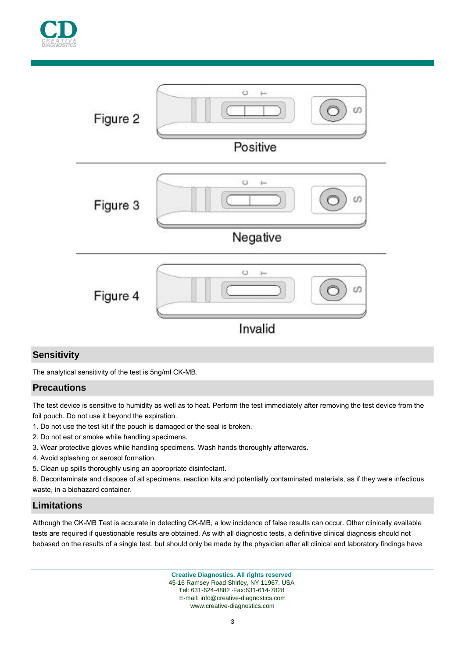



# **Sensitivity**

The analytical sensitivity of the test is 5ng/ml CK-MB.

## **Precautions**

The test device is sensitive to humidity as well as to heat. Perform the test immediately after removing the test device from the foil pouch. Do not use it beyond the expiration.

- 1. Do not use the test kit if the pouch is damaged or the seal is broken.
- 2. Do not eat or smoke while handling specimens.
- 3. Wear protective gloves while handling specimens. Wash hands thoroughly afterwards.
- 4. Avoid splashing or aerosol formation.
- 5. Clean up spills thoroughly using an appropriate disinfectant.

6. Decontaminate and dispose of all specimens, reaction kits and potentially contaminated materials, as if they were infectious waste, in a biohazard container.

## **Limitations**

Although the CK-MB Test is accurate in detecting CK-MB, a low incidence of false results can occur. Other clinically available tests are required if questionable results are obtained. As with all diagnostic tests, a definitive clinical diagnosis should not bebased on the results of a single test, but should only be made by the physician after all clinical and laboratory findings have

> **Creative Diagnostics. All rights reserved** 45-16 Ramsey Road Shirley, NY 11967, USA Tel: 631-624-4882 ·Fax:631-614-7828 E-mail: info@creative-diagnostics.com www.creative-diagnostics.com